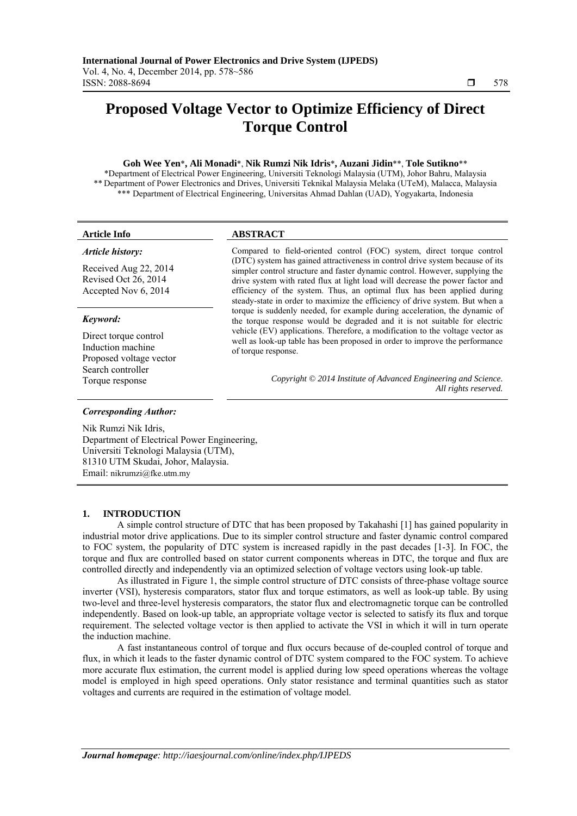# **Proposed Voltage Vector to Optimize Efficiency of Direct Torque Control**

### **Goh Wee Yen**\***, Ali Monadi**\*, **Nik Rumzi Nik Idris**\***, Auzani Jidin**\*\*, **Tole Sutikno**\*\*

\*Department of Electrical Power Engineering, Universiti Teknologi Malaysia (UTM), Johor Bahru, Malaysia \*\* Department of Power Electronics and Drives, Universiti Teknikal Malaysia Melaka (UTeM), Malacca, Malaysia \*\*\* Department of Electrical Engineering, Universitas Ahmad Dahlan (UAD), Yogyakarta, Indonesia

#### *Article history:*

Received Aug 22, 2014 Revised Oct 26, 2014 Accepted Nov 6, 2014

#### *Keyword:*

Direct torque control Induction machine Proposed voltage vector Search controller

## **Article Info ABSTRACT**

Compared to field-oriented control (FOC) system, direct torque control (DTC) system has gained attractiveness in control drive system because of its simpler control structure and faster dynamic control. However, supplying the drive system with rated flux at light load will decrease the power factor and efficiency of the system. Thus, an optimal flux has been applied during steady-state in order to maximize the efficiency of drive system. But when a torque is suddenly needed, for example during acceleration, the dynamic of the torque response would be degraded and it is not suitable for electric vehicle (EV) applications. Therefore, a modification to the voltage vector as well as look-up table has been proposed in order to improve the performance of torque response.

Torque response *Copyright © 2014 Institute of Advanced Engineering and Science. All rights reserved.* 

#### *Corresponding Author:*

Nik Rumzi Nik Idris, Department of Electrical Power Engineering, Universiti Teknologi Malaysia (UTM), 81310 UTM Skudai, Johor, Malaysia. Email: nikrumzi@fke.utm.my

#### **1. INTRODUCTION**

A simple control structure of DTC that has been proposed by Takahashi [1] has gained popularity in industrial motor drive applications. Due to its simpler control structure and faster dynamic control compared to FOC system, the popularity of DTC system is increased rapidly in the past decades [1-3]. In FOC, the torque and flux are controlled based on stator current components whereas in DTC, the torque and flux are controlled directly and independently via an optimized selection of voltage vectors using look-up table.

As illustrated in Figure 1, the simple control structure of DTC consists of three-phase voltage source inverter (VSI), hysteresis comparators, stator flux and torque estimators, as well as look-up table. By using two-level and three-level hysteresis comparators, the stator flux and electromagnetic torque can be controlled independently. Based on look-up table, an appropriate voltage vector is selected to satisfy its flux and torque requirement. The selected voltage vector is then applied to activate the VSI in which it will in turn operate the induction machine.

A fast instantaneous control of torque and flux occurs because of de-coupled control of torque and flux, in which it leads to the faster dynamic control of DTC system compared to the FOC system. To achieve more accurate flux estimation, the current model is applied during low speed operations whereas the voltage model is employed in high speed operations. Only stator resistance and terminal quantities such as stator voltages and currents are required in the estimation of voltage model.

ֺֺ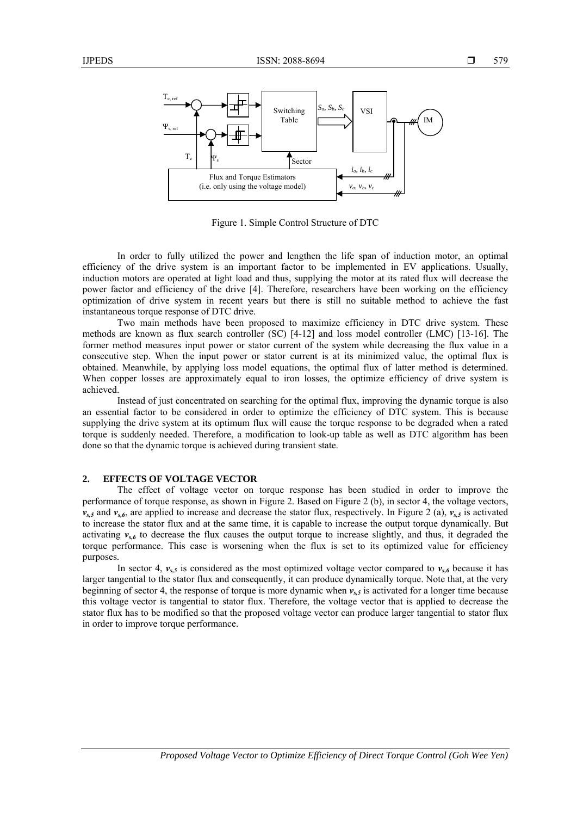

Figure 1. Simple Control Structure of DTC

In order to fully utilized the power and lengthen the life span of induction motor, an optimal efficiency of the drive system is an important factor to be implemented in EV applications. Usually, induction motors are operated at light load and thus, supplying the motor at its rated flux will decrease the power factor and efficiency of the drive [4]. Therefore, researchers have been working on the efficiency optimization of drive system in recent years but there is still no suitable method to achieve the fast instantaneous torque response of DTC drive.

Two main methods have been proposed to maximize efficiency in DTC drive system. These methods are known as flux search controller (SC) [4-12] and loss model controller (LMC) [13-16]. The former method measures input power or stator current of the system while decreasing the flux value in a consecutive step. When the input power or stator current is at its minimized value, the optimal flux is obtained. Meanwhile, by applying loss model equations, the optimal flux of latter method is determined. When copper losses are approximately equal to iron losses, the optimize efficiency of drive system is achieved.

Instead of just concentrated on searching for the optimal flux, improving the dynamic torque is also an essential factor to be considered in order to optimize the efficiency of DTC system. This is because supplying the drive system at its optimum flux will cause the torque response to be degraded when a rated torque is suddenly needed. Therefore, a modification to look-up table as well as DTC algorithm has been done so that the dynamic torque is achieved during transient state.

#### **2. EFFECTS OF VOLTAGE VECTOR**

The effect of voltage vector on torque response has been studied in order to improve the performance of torque response, as shown in Figure 2. Based on Figure 2 (b), in sector 4, the voltage vectors,  $v_{s,5}$  and  $v_{s,6}$ , are applied to increase and decrease the stator flux, respectively. In Figure 2 (a),  $v_{s,5}$  is activated to increase the stator flux and at the same time, it is capable to increase the output torque dynamically. But activating  $v_{s,6}$  to decrease the flux causes the output torque to increase slightly, and thus, it degraded the torque performance. This case is worsening when the flux is set to its optimized value for efficiency purposes.

In sector 4,  $v_{s,5}$  is considered as the most optimized voltage vector compared to  $v_{s,6}$  because it has larger tangential to the stator flux and consequently, it can produce dynamically torque. Note that, at the very beginning of sector 4, the response of torque is more dynamic when  $v_{s,s}$  is activated for a longer time because this voltage vector is tangential to stator flux. Therefore, the voltage vector that is applied to decrease the stator flux has to be modified so that the proposed voltage vector can produce larger tangential to stator flux in order to improve torque performance.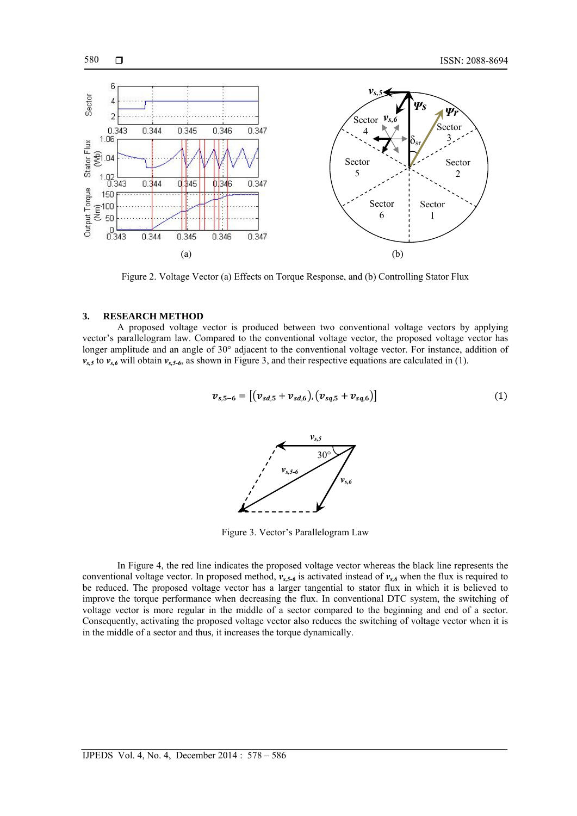

Figure 2. Voltage Vector (a) Effects on Torque Response, and (b) Controlling Stator Flux

#### **3. RESEARCH METHOD**

A proposed voltage vector is produced between two conventional voltage vectors by applying vector's parallelogram law. Compared to the conventional voltage vector, the proposed voltage vector has longer amplitude and an angle of 30° adjacent to the conventional voltage vector. For instance, addition of  $v_{s,5}$  to  $v_{s,6}$  will obtain  $v_{s,5-6}$ , as shown in Figure 3, and their respective equations are calculated in (1).

$$
v_{s,5-6} = [(v_{sd,5} + v_{sd,6}) (v_{sq,5} + v_{sq,6})]
$$
\n(1)



Figure 3. Vector's Parallelogram Law

In Figure 4, the red line indicates the proposed voltage vector whereas the black line represents the conventional voltage vector. In proposed method,  $v_{s,6}$  is activated instead of  $v_{s,6}$  when the flux is required to be reduced. The proposed voltage vector has a larger tangential to stator flux in which it is believed to improve the torque performance when decreasing the flux. In conventional DTC system, the switching of voltage vector is more regular in the middle of a sector compared to the beginning and end of a sector. Consequently, activating the proposed voltage vector also reduces the switching of voltage vector when it is in the middle of a sector and thus, it increases the torque dynamically.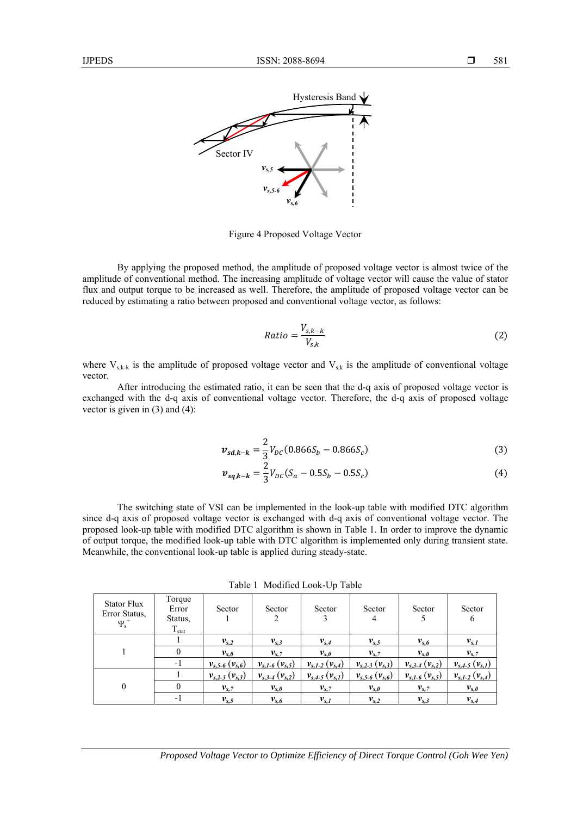

Figure 4 Proposed Voltage Vector

By applying the proposed method, the amplitude of proposed voltage vector is almost twice of the amplitude of conventional method. The increasing amplitude of voltage vector will cause the value of stator flux and output torque to be increased as well. Therefore, the amplitude of proposed voltage vector can be reduced by estimating a ratio between proposed and conventional voltage vector, as follows:

$$
Ratio = \frac{V_{s,k-k}}{V_{s,k}}
$$
 (2)

where  $V_{s,k-k}$  is the amplitude of proposed voltage vector and  $V_{s,k}$  is the amplitude of conventional voltage vector.

After introducing the estimated ratio, it can be seen that the d-q axis of proposed voltage vector is exchanged with the d-q axis of conventional voltage vector. Therefore, the d-q axis of proposed voltage vector is given in (3) and (4):

$$
v_{sd,k-k} = \frac{2}{3} V_{DC} (0.866 S_b - 0.866 S_c)
$$
 (3)

 $v_{sq,k-k} = \frac{2}{3} V_{DC} (S_a - 0.5S_b - 0.5S_c)$  (4)

The switching state of VSI can be implemented in the look-up table with modified DTC algorithm since d-q axis of proposed voltage vector is exchanged with d-q axis of conventional voltage vector. The proposed look-up table with modified DTC algorithm is shown in Table 1. In order to improve the dynamic of output torque, the modified look-up table with DTC algorithm is implemented only during transient state. Meanwhile, the conventional look-up table is applied during steady-state.

| <b>Stator Flux</b><br>Error Status,<br>$\Psi_s^+$ | Torque<br>Error<br>Status,<br>$T_{stat}$ | Sector                  | Sector                | Sector                 | Sector<br>4             | Sector                | Sector<br>6             |
|---------------------------------------------------|------------------------------------------|-------------------------|-----------------------|------------------------|-------------------------|-----------------------|-------------------------|
|                                                   |                                          | $v_{s,2}$               | $v_{s,3}$             | $v_{s,4}$              | $v_{s,5}$               | $v_{s,6}$             | $v_{s,1}$               |
|                                                   |                                          | $v_{s,0}$               | $v_{s.7}$             | $v_{s,0}$              | $v_{s.7}$               | $v_{s,0}$             | $v_{s.7}$               |
|                                                   | -1                                       | $v_{s, 5-6} (v_{s, 6})$ | $v_{s,1-6} (v_{s,5})$ | $v_{s,1-2} (v_{s,4})$  | $v_{s,2-3}$ $(v_{s,3})$ | $v_{s,3-4} (v_{s,2})$ | $v_{s, 4-5} (v_{s, 1})$ |
| $\theta$                                          |                                          | $v_{s,2-3}$ $(v_{s,3})$ | $v_{s,3-4} (v_{s,2})$ | $v_{s, 4-5} (v_{s,1})$ | $v_{s,5-6}$ $(v_{s,6})$ | $v_{s,1-6} (v_{s,5})$ | $v_{s,1-2} (v_{s,4})$   |
|                                                   |                                          | $v_{s,7}$               | $v_{s,\theta}$        | $v_{s,7}$              | $v_{s,0}$               | $v_{s,7}$             | $v_{s,0}$               |
|                                                   | - 1                                      | $v_{s,5}$               | $v_{s,6}$             | $v_{s,1}$              | $v_{s,2}$               | $v_{s,3}$             | $v_{s,4}$               |

Table 1 Modified Look-Up Table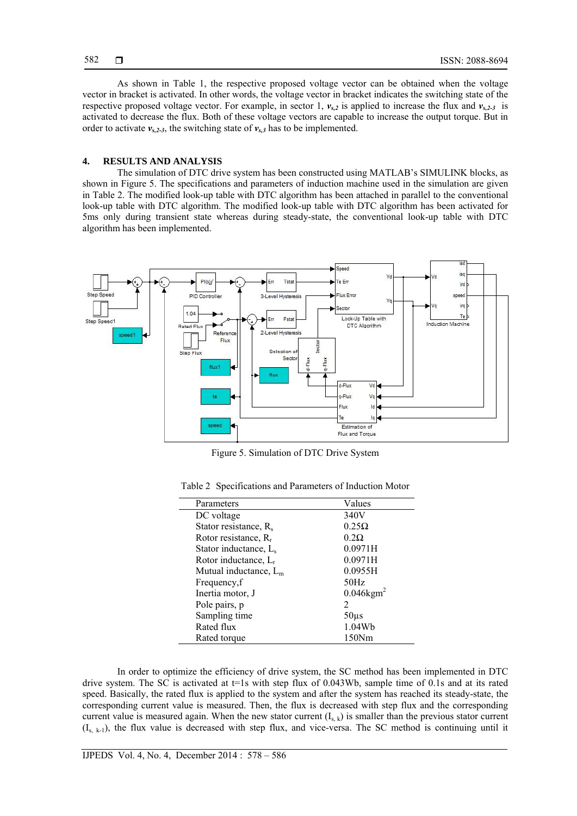As shown in Table 1, the respective proposed voltage vector can be obtained when the voltage vector in bracket is activated. In other words, the voltage vector in bracket indicates the switching state of the respective proposed voltage vector. For example, in sector 1,  $v_{s,2}$  is applied to increase the flux and  $v_{s,2-3}$  is activated to decrease the flux. Both of these voltage vectors are capable to increase the output torque. But in order to activate  $v_{s,2-3}$ , the switching state of  $v_{s,3}$  has to be implemented.

### **4. RESULTS AND ANALYSIS**

The simulation of DTC drive system has been constructed using MATLAB's SIMULINK blocks, as shown in Figure 5. The specifications and parameters of induction machine used in the simulation are given in Table 2. The modified look-up table with DTC algorithm has been attached in parallel to the conventional look-up table with DTC algorithm. The modified look-up table with DTC algorithm has been activated for 5ms only during transient state whereas during steady-state, the conventional look-up table with DTC algorithm has been implemented.



Figure 5. Simulation of DTC Drive System

| Table 2 Specifications and Parameters of Induction Motor |  |
|----------------------------------------------------------|--|
|----------------------------------------------------------|--|

| Parameters                        | Values                   |
|-----------------------------------|--------------------------|
| DC voltage                        | 340V                     |
| Stator resistance, $R_s$          | $0.25\Omega$             |
| Rotor resistance, $R_r$           | $0.2\Omega$              |
| Stator inductance, L <sub>s</sub> | 0.0971H                  |
| Rotor inductance, $L_r$           | 0.0971H                  |
| Mutual inductance, $L_m$          | 0.0955H                  |
| Frequency, f                      | 50Hz                     |
| Inertia motor, J                  | $0.046$ kgm <sup>2</sup> |
| Pole pairs, p                     | 2                        |
| Sampling time                     | $50\mu s$                |
| Rated flux                        | 1.04Wb                   |
| Rated torque                      | 150Nm                    |

In order to optimize the efficiency of drive system, the SC method has been implemented in DTC drive system. The SC is activated at  $t=1s$  with step flux of 0.043Wb, sample time of 0.1s and at its rated speed. Basically, the rated flux is applied to the system and after the system has reached its steady-state, the corresponding current value is measured. Then, the flux is decreased with step flux and the corresponding current value is measured again. When the new stator current  $(I_{s,k})$  is smaller than the previous stator current  $(I_{s,k-1})$ , the flux value is decreased with step flux, and vice-versa. The SC method is continuing until it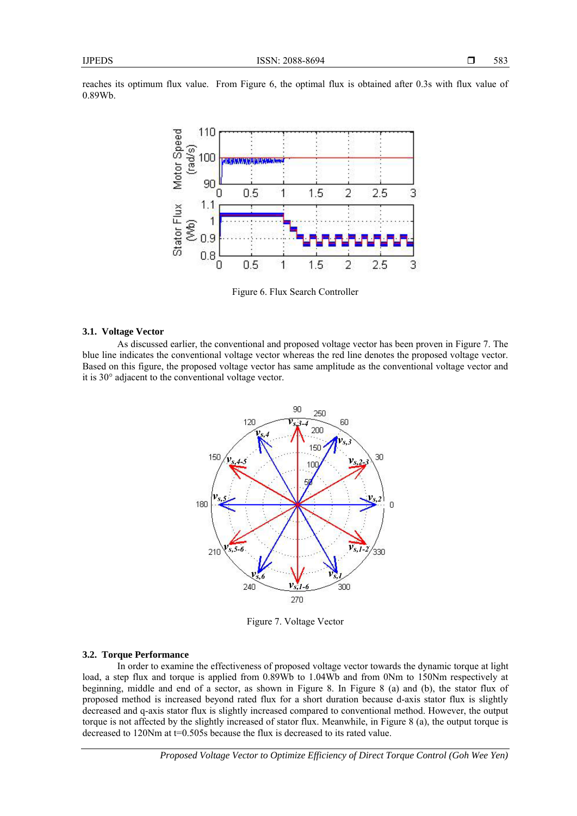reaches its optimum flux value. From Figure 6, the optimal flux is obtained after 0.3s with flux value of 0.89Wb.



Figure 6. Flux Search Controller

#### **3.1. Voltage Vector**

As discussed earlier, the conventional and proposed voltage vector has been proven in Figure 7. The blue line indicates the conventional voltage vector whereas the red line denotes the proposed voltage vector. Based on this figure, the proposed voltage vector has same amplitude as the conventional voltage vector and it is 30° adjacent to the conventional voltage vector.



Figure 7. Voltage Vector

#### **3.2. Torque Performance**

In order to examine the effectiveness of proposed voltage vector towards the dynamic torque at light load, a step flux and torque is applied from 0.89Wb to 1.04Wb and from 0Nm to 150Nm respectively at beginning, middle and end of a sector, as shown in Figure 8. In Figure 8 (a) and (b), the stator flux of proposed method is increased beyond rated flux for a short duration because d-axis stator flux is slightly decreased and q-axis stator flux is slightly increased compared to conventional method. However, the output torque is not affected by the slightly increased of stator flux. Meanwhile, in Figure 8 (a), the output torque is decreased to 120Nm at t=0.505s because the flux is decreased to its rated value.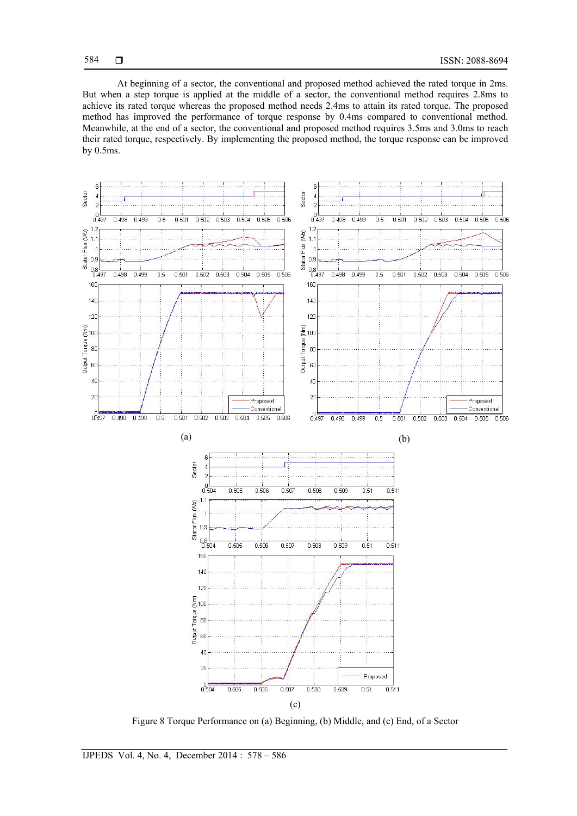At beginning of a sector, the conventional and proposed method achieved the rated torque in 2ms. But when a step torque is applied at the middle of a sector, the conventional method requires 2.8ms to achieve its rated torque whereas the proposed method needs 2.4ms to attain its rated torque. The proposed method has improved the performance of torque response by 0.4ms compared to conventional method. Meanwhile, at the end of a sector, the conventional and proposed method requires 3.5ms and 3.0ms to reach their rated torque, respectively. By implementing the proposed method, the torque response can be improved by 0.5ms.



Figure 8 Torque Performance on (a) Beginning, (b) Middle, and (c) End, of a Sector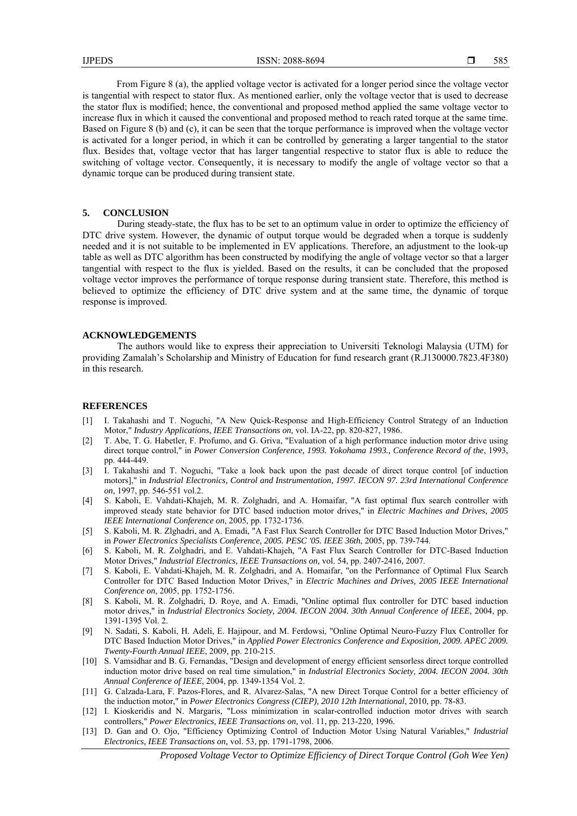From Figure 8 (a), the applied voltage vector is activated for a longer period since the voltage vector is tangential with respect to stator flux. As mentioned earlier, only the voltage vector that is used to decrease the stator flux is modified; hence, the conventional and proposed method applied the same voltage vector to increase flux in which it caused the conventional and proposed method to reach rated torque at the same time. Based on Figure 8 (b) and (c), it can be seen that the torque performance is improved when the voltage vector is activated for a longer period, in which it can be controlled by generating a larger tangential to the stator flux. Besides that, voltage vector that has larger tangential respective to stator flux is able to reduce the switching of voltage vector. Consequently, it is necessary to modify the angle of voltage vector so that a dynamic torque can be produced during transient state.

#### **5. CONCLUSION**

During steady-state, the flux has to be set to an optimum value in order to optimize the efficiency of DTC drive system. However, the dynamic of output torque would be degraded when a torque is suddenly needed and it is not suitable to be implemented in EV applications. Therefore, an adjustment to the look-up table as well as DTC algorithm has been constructed by modifying the angle of voltage vector so that a larger tangential with respect to the flux is yielded. Based on the results, it can be concluded that the proposed voltage vector improves the performance of torque response during transient state. Therefore, this method is believed to optimize the efficiency of DTC drive system and at the same time, the dynamic of torque response is improved.

# **ACKNOWLEDGEMENTS**

The authors would like to express their appreciation to Universiti Teknologi Malaysia (UTM) for providing Zamalah's Scholarship and Ministry of Education for fund research grant (R.J130000.7823.4F380) in this research.

#### **REFERENCES**

- [1] I. Takahashi and T. Noguchi, "A New Quick-Response and High-Efficiency Control Strategy of an Induction Motor," *Industry Applications, IEEE Transactions on,* vol. IA-22, pp. 820-827, 1986.
- [2] T. Abe, T. G. Habetler, F. Profumo, and G. Griva, "Evaluation of a high performance induction motor drive using direct torque control," in *Power Conversion Conference, 1993. Yokohama 1993., Conference Record of the*, 1993, pp. 444-449.
- [3] I. Takahashi and T. Noguchi, "Take a look back upon the past decade of direct torque control [of induction motors]," in *Industrial Electronics, Control and Instrumentation, 1997. IECON 97. 23rd International Conference on*, 1997, pp. 546-551 vol.2.
- [4] S. Kaboli, E. Vahdati-Khajeh, M. R. Zolghadri, and A. Homaifar, "A fast optimal flux search controller with improved steady state behavior for DTC based induction motor drives," in *Electric Machines and Drives, 2005 IEEE International Conference on*, 2005, pp. 1732-1736.
- [5] S. Kaboli, M. R. Zlghadri, and A. Emadi, "A Fast Flux Search Controller for DTC Based Induction Motor Drives," in *Power Electronics Specialists Conference, 2005. PESC '05. IEEE 36th*, 2005, pp. 739-744.
- [6] S. Kaboli, M. R. Zolghadri, and E. Vahdati-Khajeh, "A Fast Flux Search Controller for DTC-Based Induction Motor Drives," *Industrial Electronics, IEEE Transactions on,* vol. 54, pp. 2407-2416, 2007.
- [7] S. Kaboli, E. Vahdati-Khajeh, M. R. Zolghadri, and A. Homaifar, "on the Performance of Optimal Flux Search Controller for DTC Based Induction Motor Drives," in *Electric Machines and Drives, 2005 IEEE International Conference on*, 2005, pp. 1752-1756.
- [8] S. Kaboli, M. R. Zolghadri, D. Roye, and A. Emadi, "Online optimal flux controller for DTC based induction motor drives," in *Industrial Electronics Society, 2004. IECON 2004. 30th Annual Conference of IEEE*, 2004, pp. 1391-1395 Vol. 2.
- [9] N. Sadati, S. Kaboli, H. Adeli, E. Hajipour, and M. Ferdowsi, "Online Optimal Neuro-Fuzzy Flux Controller for DTC Based Induction Motor Drives," in *Applied Power Electronics Conference and Exposition, 2009. APEC 2009. Twenty-Fourth Annual IEEE*, 2009, pp. 210-215.
- [10] S. Vamsidhar and B. G. Fernandas, "Design and development of energy efficient sensorless direct torque controlled induction motor drive based on real time simulation," in *Industrial Electronics Society, 2004. IECON 2004. 30th Annual Conference of IEEE*, 2004, pp. 1349-1354 Vol. 2.
- [11] G. Calzada-Lara, F. Pazos-Flores, and R. Alvarez-Salas, "A new Direct Torque Control for a better efficiency of the induction motor," in *Power Electronics Congress (CIEP), 2010 12th International*, 2010, pp. 78-83.
- [12] I. Kioskeridis and N. Margaris, "Loss minimization in scalar-controlled induction motor drives with search controllers," *Power Electronics, IEEE Transactions on,* vol. 11, pp. 213-220, 1996.
- [13] D. Gan and O. Ojo, "Efficiency Optimizing Control of Induction Motor Using Natural Variables," *Industrial Electronics, IEEE Transactions on,* vol. 53, pp. 1791-1798, 2006.